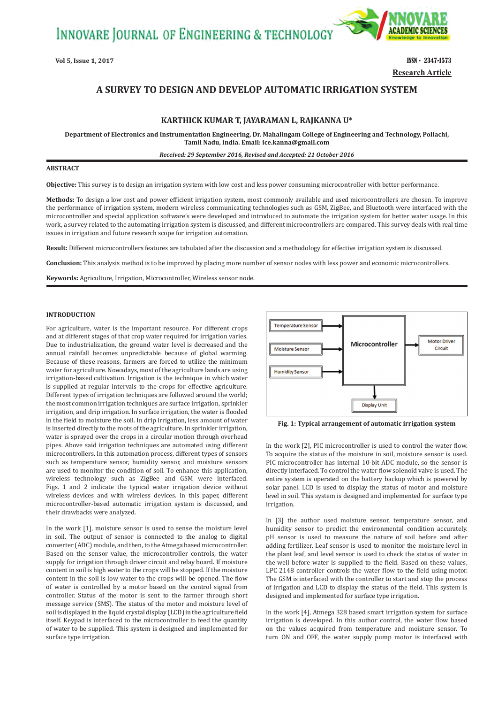INNOVARE JOURNAL OF ENGINEERING & TECHNOLOGY



**Vol 5, Issue 1, 2017 ISSN - 2347-1573 Research Article**

# **A SURVEY TO DESIGN AND DEVELOP AUTOMATIC IRRIGATION SYSTEM**

## **KARTHICK KUMAR T, JAYARAMAN L, RAJKANNA U\***

**Department of Electronics and Instrumentation Engineering, Dr. Mahalingam College of Engineering and Technology, Pollachi, Tamil Nadu, India. Email: ice.kanna@gmail.com**

*Received: 29 September 2016, Revised and Accepted: 21 October 2016*

### **ABSTRACT**

**Objective:** This survey is to design an irrigation system with low cost and less power consuming microcontroller with better performance.

**Methods:** To design a low cost and power efficient irrigation system, most commonly available and used microcontrollers are chosen. To improve the performance of irrigation system, modern wireless communicating technologies such as GSM, ZigBee, and Bluetooth were interfaced with the microcontroller and special application software's were developed and introduced to automate the irrigation system for better water usage. In this work, a survey related to the automating irrigation system is discussed, and different microcontrollers are compared. This survey deals with real time issues in irrigation and future research scope for irrigation automation.

**Result:** Different microcontrollers features are tabulated after the discussion and a methodology for effective irrigation system is discussed.

**Conclusion:** This analysis method is to be improved by placing more number of sensor nodes with less power and economic microcontrollers.

**Keywords:** Agriculture, Irrigation, Microcontroller, Wireless sensor node.

## **INTRODUCTION**

For agriculture, water is the important resource. For different crops and at different stages of that crop water required for irrigation varies. Due to industrialization, the ground water level is decreased and the annual rainfall becomes unpredictable because of global warming. Because of these reasons, farmers are forced to utilize the minimum water for agriculture. Nowadays, most of the agriculture lands are using irrigation-based cultivation. Irrigation is the technique in which water is supplied at regular intervals to the crops for effective agriculture. Different types of irrigation techniques are followed around the world; the most common irrigation techniques are surface irrigation, sprinkler irrigation, and drip irrigation. In surface irrigation, the water is flooded in the field to moisture the soil. In drip irrigation, less amount of water is inserted directly to the roots of the agriculture. In sprinkler irrigation, water is sprayed over the crops in a circular motion through overhead pipes. Above said irrigation techniques are automated using different microcontrollers. In this automation process, different types of sensors such as temperature sensor, humidity sensor, and moisture sensors are used to monitor the condition of soil. To enhance this application, wireless technology such as ZigBee and GSM were interfaced. Figs. 1 and 2 indicate the typical water irrigation device without wireless devices and with wireless devices. In this paper, different microcontroller‑based automatic irrigation system is discussed, and their drawbacks were analyzed.

In the work [1], moisture sensor is used to sense the moisture level in soil. The output of sensor is connected to the analog to digital converter (ADC) module, and then, to the Atmega based microcontroller. Based on the sensor value, the microcontroller controls, the water supply for irrigation through driver circuit and relay board. If moisture content in soil is high water to the crops will be stopped. If the moisture content in the soil is low water to the crops will be opened. The flow of water is controlled by a motor based on the control signal from controller. Status of the motor is sent to the farmer through short message service (SMS). The status of the motor and moisture level of soil is displayed in the liquid crystal display (LCD) in the agriculture field itself. Keypad is interfaced to the microcontroller to feed the quantity of water to be supplied. This system is designed and implemented for surface type irrigation.



**Fig. 1: Typical arrangement of automatic irrigation system**

In the work [2], PIC microcontroller is used to control the water flow. To acquire the status of the moisture in soil, moisture sensor is used. PIC microcontroller has internal 10‑bit ADC module, so the sensor is directly interfaced. To control the water flow solenoid valve is used. The entire system is operated on the battery backup which is powered by solar panel. LCD is used to display the status of motor and moisture level in soil. This system is designed and implemented for surface type irrigation.

In [3] the author used moisture sensor, temperature sensor, and humidity sensor to predict the environmental condition accurately. pH sensor is used to measure the nature of soil before and after adding fertilizer. Leaf sensor is used to monitor the moisture level in the plant leaf, and level sensor is used to check the status of water in the well before water is supplied to the field. Based on these values, LPC 2148 controller controls the water flow to the field using motor. The GSM is interfaced with the controller to start and stop the process of irrigation and LCD to display the status of the field. This system is designed and implemented for surface type irrigation.

In the work [4], Atmega 328 based smart irrigation system for surface irrigation is developed. In this author control, the water flow based on the values acquired from temperature and moisture sensor. To turn ON and OFF, the water supply pump motor is interfaced with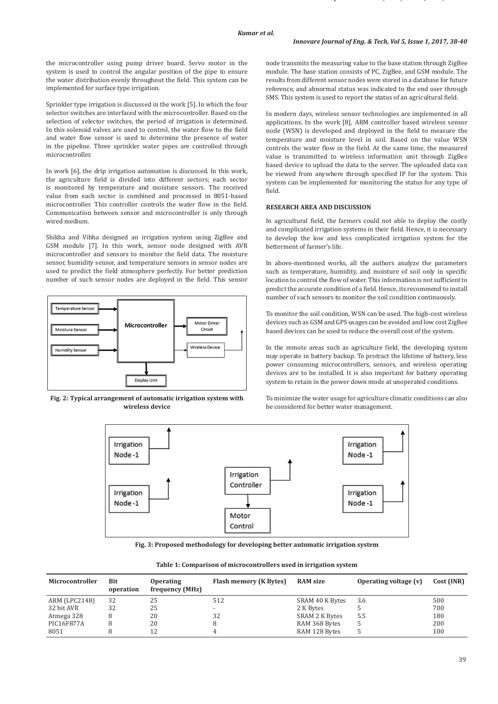the microcontroller using pump driver board. Servo motor in the system is used to control the angular position of the pipe to ensure the water distribution evenly throughout the field. This system can be implemented for surface type irrigation.

Sprinkler type irrigation is discussed in the work [5]. In which the four selector switches are interfaced with the microcontroller. Based on the selection of selector switches, the period of irrigation is determined. In this solenoid valves are used to control, the water flow to the field and water flow sensor is used to determine the presence of water in the pipeline. Three sprinkler water pipes are controlled through microcontroller.

In work [6], the drip irrigation automation is discussed. In this work, the agriculture field is divided into different sectors; each sector is monitored by temperature and moisture sensors. The received value from each sector is combined and processed in 8051‑based microcontroller. This controller controls the water flow in the field. Communication between sensor and microcontroller is only through wired medium.

Shikha and Vibha designed an irrigation system using ZigBee and GSM module [7]. In this work, sensor node designed with AVR microcontroller and sensors to monitor the field data. The moisture sensor, humidity sensor, and temperature sensors in sensor nodes are used to predict the field atmosphere perfectly. For better prediction number of such sensor nodes are deployed in the field. This sensor



**Fig. 2: Typical arrangement of automatic irrigation system with wireless device**

node transmits the measuring value to the base station through ZigBee module. The base station consists of PC, ZigBee, and GSM module. The results from different sensor nodes were stored in a database for future reference, and abnormal status was indicated to the end user through SMS. This system is used to report the status of an agricultural field.

In modern days, wireless sensor technologies are implemented in all applications. In the work [8], ARM controller based wireless sensor node (WSN) is developed and deployed in the field to measure the temperature and moisture level in soil. Based on the value WSN controls the water flow in the field. At the same time, the measured value is transmitted to wireless information unit through ZigBee based device to upload the data to the server. The uploaded data can be viewed from anywhere through specified IP for the system. This system can be implemented for monitoring the status for any type of field.

# **RESEARCH AREA AND DISCUSSION**

In agricultural field, the farmers could not able to deploy the costly and complicated irrigation systems in their field. Hence, it is necessary to develop the low and less complicated irrigation system for the betterment of farmer's life.

In above-mentioned works, all the authors analyze the parameters such as temperature, humidity, and moisture of soil only in specific location to control the flow of water. This information is not sufficient to predict the accurate condition of a field. Hence, its recommend to install number of such sensors to monitor the soil condition continuously.

To monitor the soil condition, WSN can be used. The high-cost wireless devices such as GSM and GPS usages can be avoided and low cost ZigBee based devices can be used to reduce the overall cost of the system.

In the remote areas such as agriculture field, the developing system may operate in battery backup. To protract the lifetime of battery, less power consuming microcontrollers, sensors, and wireless operating devices are to be installed. It is also important for battery operating system to retain in the power down mode at unoperated conditions.

To minimize the water usage for agriculture climatic conditions can also be considered for better water management.



**Fig. 3: Proposed methodology for developing better automatic irrigation system**

| Microcontroller | Bit<br>operation | <b>Operating</b><br>frequency (MHz) | <b>Flash memory (K Bytes)</b> | <b>RAM</b> size | Operating voltage (v) | Cost (INR) |
|-----------------|------------------|-------------------------------------|-------------------------------|-----------------|-----------------------|------------|
| ARM (LPC2148)   | 32               | 25                                  | 512                           | SRAM 40 K Bytes | 3.6                   | 500        |
| 32 bit AVR      | 32               | 25                                  |                               | 2 K Bytes       |                       | 700        |
| Atmega 328      |                  | 20                                  | 32                            | SRAM 2 K Bytes  | 5.5                   | 180        |
| PIC16F877A      |                  | 20                                  |                               | RAM 368 Bytes   |                       | 200        |
| 8051            |                  | 12                                  |                               | RAM 128 Bytes   |                       | 100        |

**Table 1: Comparison of microcontrollers used in irrigation system**